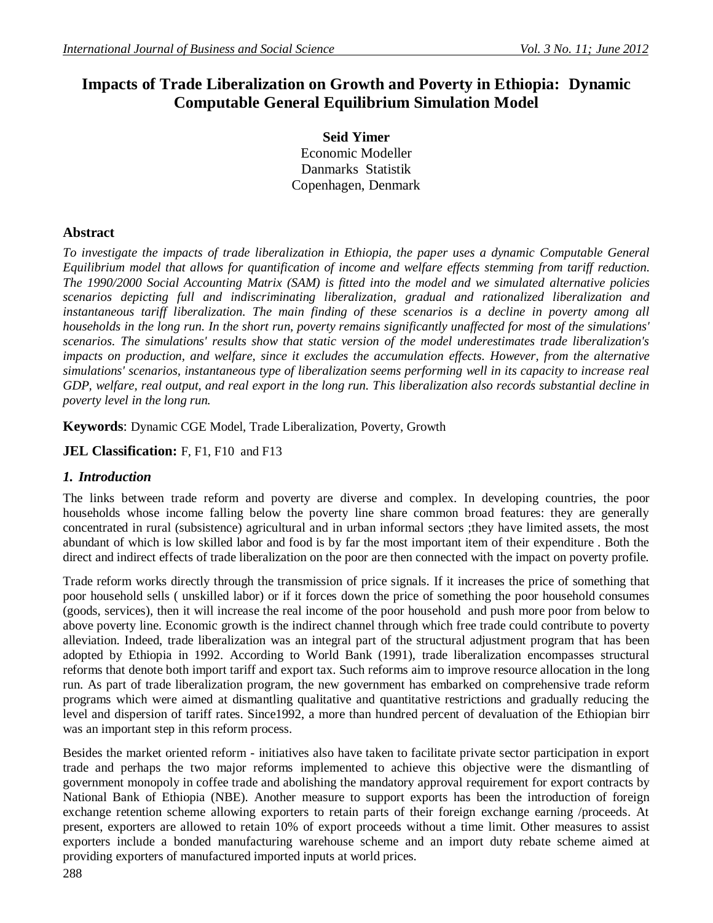# **Impacts of Trade Liberalization on Growth and Poverty in Ethiopia: Dynamic Computable General Equilibrium Simulation Model**

**Seid Yimer** Economic Modeller Danmarks Statistik Copenhagen, Denmark

# **Abstract**

*To investigate the impacts of trade liberalization in Ethiopia, the paper uses a dynamic Computable General Equilibrium model that allows for quantification of income and welfare effects stemming from tariff reduction. The 1990/2000 Social Accounting Matrix (SAM) is fitted into the model and we simulated alternative policies scenarios depicting full and indiscriminating liberalization, gradual and rationalized liberalization and instantaneous tariff liberalization. The main finding of these scenarios is a decline in poverty among all households in the long run. In the short run, poverty remains significantly unaffected for most of the simulations' scenarios. The simulations' results show that static version of the model underestimates trade liberalization's impacts on production, and welfare, since it excludes the accumulation effects. However, from the alternative simulations' scenarios, instantaneous type of liberalization seems performing well in its capacity to increase real GDP, welfare, real output, and real export in the long run. This liberalization also records substantial decline in poverty level in the long run.*

**Keywords**: Dynamic CGE Model, Trade Liberalization, Poverty, Growth

**JEL Classification:** F, F1, F10 and F13

# *1. Introduction*

The links between trade reform and poverty are diverse and complex. In developing countries, the poor households whose income falling below the poverty line share common broad features: they are generally concentrated in rural (subsistence) agricultural and in urban informal sectors ;they have limited assets, the most abundant of which is low skilled labor and food is by far the most important item of their expenditure . Both the direct and indirect effects of trade liberalization on the poor are then connected with the impact on poverty profile.

Trade reform works directly through the transmission of price signals. If it increases the price of something that poor household sells ( unskilled labor) or if it forces down the price of something the poor household consumes (goods, services), then it will increase the real income of the poor household and push more poor from below to above poverty line. Economic growth is the indirect channel through which free trade could contribute to poverty alleviation. Indeed, trade liberalization was an integral part of the structural adjustment program that has been adopted by Ethiopia in 1992. According to World Bank (1991), trade liberalization encompasses structural reforms that denote both import tariff and export tax. Such reforms aim to improve resource allocation in the long run. As part of trade liberalization program, the new government has embarked on comprehensive trade reform programs which were aimed at dismantling qualitative and quantitative restrictions and gradually reducing the level and dispersion of tariff rates. Since1992, a more than hundred percent of devaluation of the Ethiopian birr was an important step in this reform process.

Besides the market oriented reform - initiatives also have taken to facilitate private sector participation in export trade and perhaps the two major reforms implemented to achieve this objective were the dismantling of government monopoly in coffee trade and abolishing the mandatory approval requirement for export contracts by National Bank of Ethiopia (NBE). Another measure to support exports has been the introduction of foreign exchange retention scheme allowing exporters to retain parts of their foreign exchange earning /proceeds. At present, exporters are allowed to retain 10% of export proceeds without a time limit. Other measures to assist exporters include a bonded manufacturing warehouse scheme and an import duty rebate scheme aimed at providing exporters of manufactured imported inputs at world prices.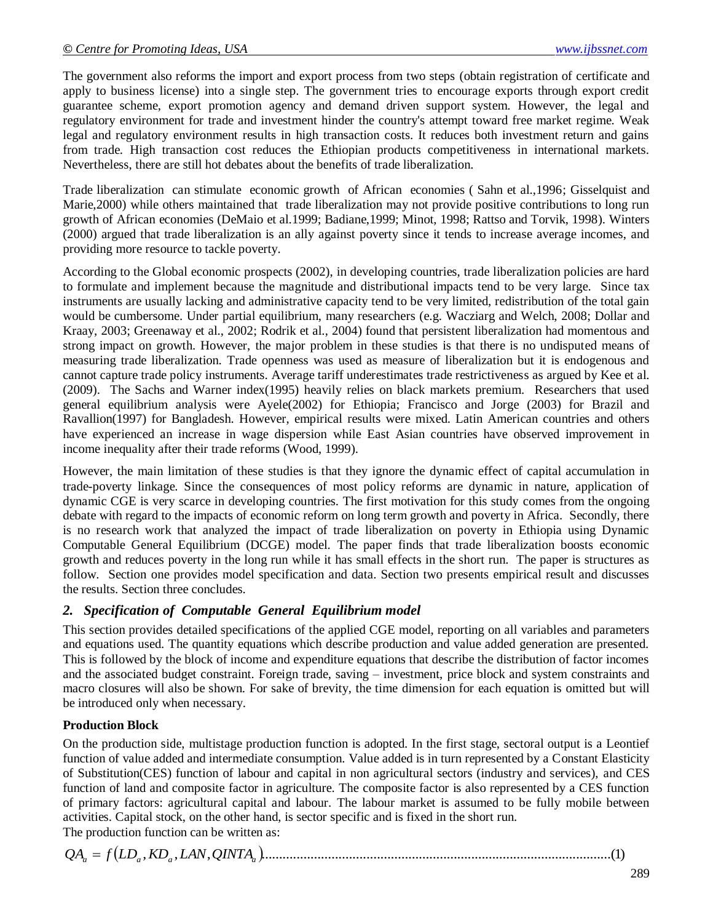The government also reforms the import and export process from two steps (obtain registration of certificate and apply to business license) into a single step. The government tries to encourage exports through export credit guarantee scheme, export promotion agency and demand driven support system. However, the legal and regulatory environment for trade and investment hinder the country's attempt toward free market regime. Weak legal and regulatory environment results in high transaction costs. It reduces both investment return and gains from trade. High transaction cost reduces the Ethiopian products competitiveness in international markets. Nevertheless, there are still hot debates about the benefits of trade liberalization.

Trade liberalization can stimulate economic growth of African economies ( Sahn et al.,1996; Gisselquist and Marie,2000) while others maintained that trade liberalization may not provide positive contributions to long run growth of African economies (DeMaio et al.1999; Badiane,1999; Minot, 1998; Rattso and Torvik, 1998). Winters (2000) argued that trade liberalization is an ally against poverty since it tends to increase average incomes, and providing more resource to tackle poverty.

According to the Global economic prospects (2002), in developing countries, trade liberalization policies are hard to formulate and implement because the magnitude and distributional impacts tend to be very large. Since tax instruments are usually lacking and administrative capacity tend to be very limited, redistribution of the total gain would be cumbersome. Under partial equilibrium, many researchers (e.g. Wacziarg and Welch, 2008; Dollar and Kraay, 2003; Greenaway et al., 2002; Rodrik et al., 2004) found that persistent liberalization had momentous and strong impact on growth. However, the major problem in these studies is that there is no undisputed means of measuring trade liberalization. Trade openness was used as measure of liberalization but it is endogenous and cannot capture trade policy instruments. Average tariff underestimates trade restrictiveness as argued by Kee et al. (2009). The Sachs and Warner index(1995) heavily relies on black markets premium. Researchers that used general equilibrium analysis were Ayele(2002) for Ethiopia; Francisco and Jorge (2003) for Brazil and Ravallion(1997) for Bangladesh. However, empirical results were mixed. Latin American countries and others have experienced an increase in wage dispersion while East Asian countries have observed improvement in income inequality after their trade reforms (Wood, 1999).

However, the main limitation of these studies is that they ignore the dynamic effect of capital accumulation in trade-poverty linkage. Since the consequences of most policy reforms are dynamic in nature, application of dynamic CGE is very scarce in developing countries. The first motivation for this study comes from the ongoing debate with regard to the impacts of economic reform on long term growth and poverty in Africa. Secondly, there is no research work that analyzed the impact of trade liberalization on poverty in Ethiopia using Dynamic Computable General Equilibrium (DCGE) model. The paper finds that trade liberalization boosts economic growth and reduces poverty in the long run while it has small effects in the short run. The paper is structures as follow. Section one provides model specification and data. Section two presents empirical result and discusses the results. Section three concludes.

# *2. Specification of Computable General Equilibrium model*

This section provides detailed specifications of the applied CGE model, reporting on all variables and parameters and equations used. The quantity equations which describe production and value added generation are presented. This is followed by the block of income and expenditure equations that describe the distribution of factor incomes and the associated budget constraint. Foreign trade, saving – investment, price block and system constraints and macro closures will also be shown. For sake of brevity, the time dimension for each equation is omitted but will be introduced only when necessary.

# **Production Block**

On the production side, multistage production function is adopted. In the first stage, sectoral output is a Leontief function of value added and intermediate consumption. Value added is in turn represented by a Constant Elasticity of Substitution(CES) function of labour and capital in non agricultural sectors (industry and services), and CES function of land and composite factor in agriculture. The composite factor is also represented by a CES function of primary factors: agricultural capital and labour. The labour market is assumed to be fully mobile between activities. Capital stock, on the other hand, is sector specific and is fixed in the short run. The production function can be written as:

 , , , ....................................................................................................(1) *<sup>a</sup> LD<sup>a</sup> KD<sup>a</sup> LAN QINTA<sup>a</sup> QA f*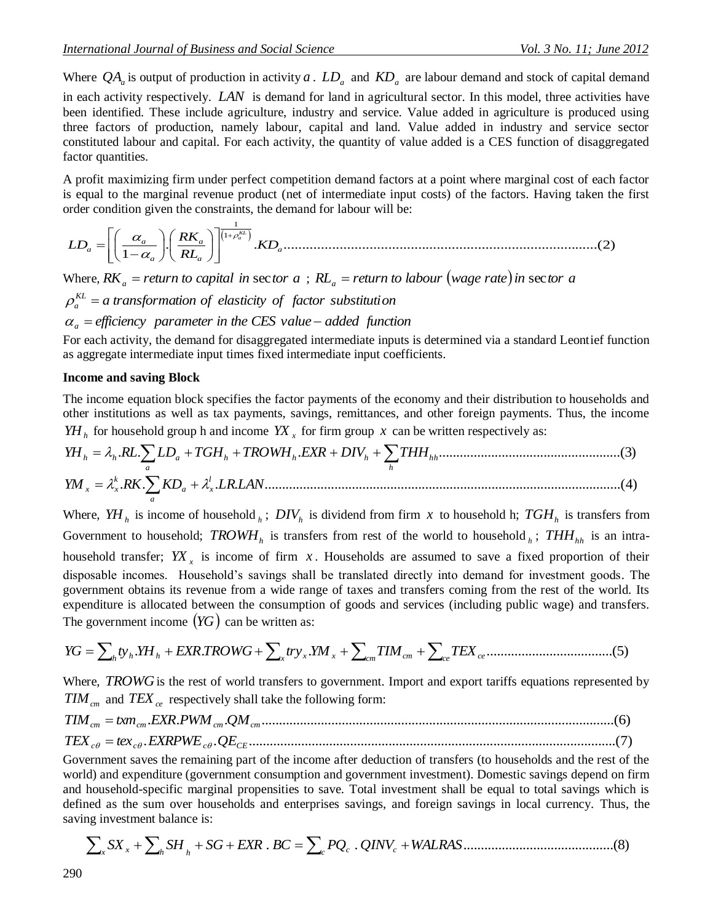Where  $QA_a$  is output of production in activity a .  $LD_a$  and  $KD_a$  are labour demand and stock of capital demand in each activity respectively. *LAN* is demand for land in agricultural sector. In this model, three activities have been identified. These include agriculture, industry and service. Value added in agriculture is produced using three factors of production, namely labour, capital and land. Value added in industry and service sector constituted labour and capital. For each activity, the quantity of value added is a CES function of disaggregated factor quantities.

A profit maximizing firm under perfect competition demand factors at a point where marginal cost of each factor is equal to the marginal revenue product (net of intermediate input costs) of the factors. Having taken the first

order condition given the constraints, the demand for labour will be: 1 1 . . ....................................................................................(2) 1 *KL a a a a a a a RK LD KD RL* 

Where,  $RK_a$  = return to capital in sector  $a$  ;  $RL_a$  = return to labour (wage rate) in sector  $a$ 

 $\rho_a^{KL} = a$  transformation of elasticity of factor substitution

$$
\alpha_a
$$
 = efficiency parameter in the CES value – added function

For each activity, the demand for disaggregated intermediate inputs is determined via a standard Leontief function as aggregate intermediate input times fixed intermediate input coefficients.

#### **Income and saving Block**

*a*

The income equation block specifies the factor payments of the economy and their distribution to households and other institutions as well as tax payments, savings, remittances, and other foreign payments. Thus, the income *YH*<sub>*h*</sub> for household group h and income  $YX_x$  for firm group x can be written respectively as:

Other institutions as well as tax payments, savings, terminates, and other foreign payments. Thus, the motion 
$$
YH_h
$$
 for household group h and income  $YX_x$  for firm group x can be written respectively as:

\n $YH_h = \lambda_h R L \sum_a LD_a + TGH_h + TROWH_h. EXP + DIV_h + \sum_h THH_{hh}$ 

\n3. (3)

\n $YM_x = \lambda_x^k R K \sum_b K D_a + \lambda_x^l LR. LAN$ 

\n4. (4)

Where,  $YH_h$  is income of household  $_h$ ;  $DIV_h$  is dividend from firm x to household h;  $TGH_h$  is transfers from Government to household;  $TROWH<sub>h</sub>$  is transfers from rest of the world to household  $_h$ ;  $THH<sub>hh</sub>$  is an intrahousehold transfer;  $YX_x$  is income of firm x. Households are assumed to save a fixed proportion of their disposable incomes. Household's savings shall be translated directly into demand for investment goods. The government obtains its revenue from a wide range of taxes and transfers coming from the rest of the world. Its expenditure is allocated between the consumption of goods and services (including public wage) and transfers. The government income  $(YG)$  can be written as:

 . . . ....................................(5) *ce ce YG h ty<sup>h</sup> YH<sup>h</sup> EXR TROWG x try<sup>x</sup> YM <sup>x</sup> cm TIMcm TEX*

Where, *TROWG* is the rest of world transfers to government. Import and export tariffs equations represented by  $TIM_{cm}$  and  $TEX_{ce}$  respectively shall take the following form:

$$
TIM_{cm} = txm_{cm}.EXR.PWM_{cm}.QM_{cm}.................(6)
$$

$$
TEX_{c\theta} = tex_{c\theta}.EXRPWE_{c\theta}.QE_{CE}.................(7)
$$

Government saves the remaining part of the income after deduction of transfers (to households and the rest of the world) and expenditure (government consumption and government investment). Domestic savings depend on firm and household-specific marginal propensities to save. Total investment shall be equal to total savings which is defined as the sum over households and enterprises savings, and foreign savings in local currency. Thus, the saving investment balance is:

*SX SH SG EXR* . *BC PQ* . *QINV WALRAS*...........................................(8) *c c <sup>c</sup> <sup>x</sup> <sup>h</sup> <sup>h</sup> <sup>x</sup>*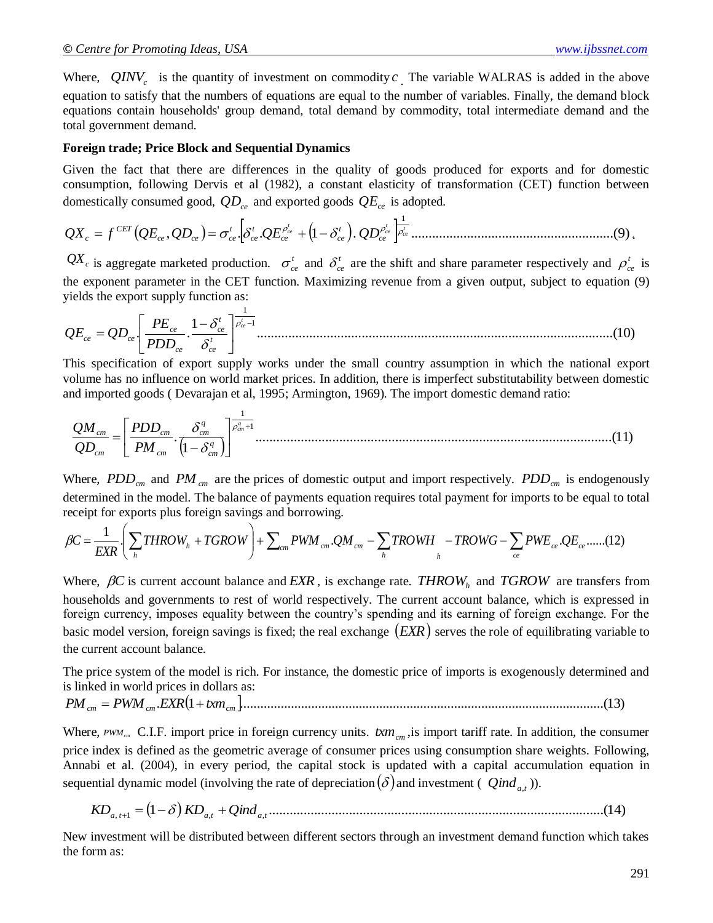Where,  $QINV_c$  is the quantity of investment on commodity  $c$ . The variable WALRAS is added in the above equation to satisfy that the numbers of equations are equal to the number of variables. Finally, the demand block equations contain households' group demand, total demand by commodity, total intermediate demand and the total government demand.

#### **Foreign trade; Price Block and Sequential Dynamics**

Given the fact that there are differences in the quality of goods produced for exports and for domestic consumption, following Dervis et al (1982), a constant elasticity of transformation (CET) function between domestically consumed good, *QDce* and exported goods *QEce* is adopted.

 , . . 1 . ..........................................................(9) 1 *t ce t ce t ce ce t ce ce t ce t ce ce ce CET QX<sup>c</sup> f QE QD QE QD* '

 $QX_c$  is aggregate marketed production.  $\sigma_{ce}^t$  and  $\delta_{ce}^t$  are the shift and share parameter respectively and  $\rho_{ce}^t$  is the exponent parameter in the CET function. Maximizing revenue from a given output, subject to equation (9) yields the export supply function as:

$$
QE_{ce} = QD_{ce} \left[ \frac{PE_{ce}}{PDD_{ce}} \cdot \frac{1 - \delta_{ce}^t}{\delta_{ce}^t} \right]_{\text{}
$$
 (10)

This specification of export supply works under the small country assumption in which the national export volume has no influence on world market prices. In addition, there is imperfect substitutability between domestic and imported goods ( Devarajan et al, 1995; Armington, 1969). The import domestic demand ratio:

 ......................................................................................................(11) 1 . 1 1 *q cm q cm q cm cm cm cm cm PM PDD QD QM* 

Where,  $PDD_{cm}$  and  $PM_{cm}$  are the prices of domestic output and import respectively.  $PDD_{cm}$  is endogenously determined in the model. The balance of payments equation requires total payment for imports to be equal to total receipt for exports plus foreign savings and borrowing.

$$
\beta C = \frac{1}{EXR} \left( \sum_{h} THROW_{h} + TGROW \right) + \sum_{cm} PWM_{cm}.QM_{cm} - \sum_{h} TROWH_{h} - TROWG - \sum_{ce} PWE_{ce}.QE_{ce}.....(12)
$$

Where,  $\beta C$  is current account balance and  $EXR$ , is exchange rate. THROW<sub>h</sub> and TGROW are transfers from households and governments to rest of world respectively. The current account balance, which is expressed in foreign currency, imposes equality between the country's spending and its earning of foreign exchange. For the basic model version, foreign savings is fixed; the real exchange *EXR* serves the role of equilibrating variable to the current account balance.

The price system of the model is rich. For instance, the domestic price of imports is exogenously determined and is linked in world prices in dollars as:

. 1 ...........................................................................................................(13) *cm cm cm PM PWM EXR txm*

Where,  $PWM_{cm}$  C.I.F. import price in foreign currency units.  $txm_{cm}$ , is import tariff rate. In addition, the consumer price index is defined as the geometric average of consumer prices using consumption share weights. Following, Annabi et al. (2004), in every period, the capital stock is updated with a capital accumulation equation in sequential dynamic model (involving the rate of depreciation  $(\delta)$  and investment (  $Qind_{a,t}$  )).

1 ................................................................................................(14) *KDa*, *<sup>t</sup>*<sup>1</sup> *KDa*,*<sup>t</sup> Qinda*,*<sup>t</sup>*

New investment will be distributed between different sectors through an investment demand function which takes the form as: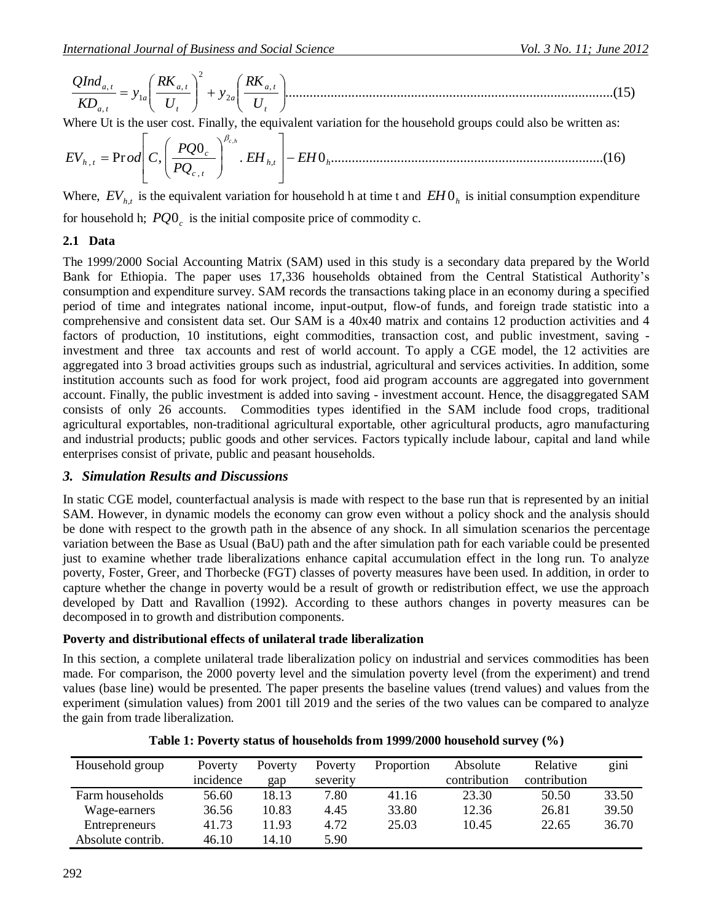..............................................................................................(15) , 2 2 , 1 , , *t a t a t a t a a t a t U RK y U RK y KD QInd*

Where Ut is the user cost. Finally, the equivalent variation for the household groups could also be written as:

. 0 ..............................................................................(16) 0 Pr , , , , , *h t h c t c <sup>h</sup> <sup>t</sup> EH EH PQ PQ EV od C c h* 

Where,  $EV_{h,t}$  is the equivalent variation for household h at time t and  $EH0<sub>h</sub>$  is initial consumption expenditure for household h;  $PQO<sub>c</sub>$  is the initial composite price of commodity c.

# **2.1 Data**

The 1999/2000 Social Accounting Matrix (SAM) used in this study is a secondary data prepared by the World Bank for Ethiopia. The paper uses 17,336 households obtained from the Central Statistical Authority's consumption and expenditure survey. SAM records the transactions taking place in an economy during a specified period of time and integrates national income, input-output, flow-of funds, and foreign trade statistic into a comprehensive and consistent data set. Our SAM is a 40x40 matrix and contains 12 production activities and 4 factors of production, 10 institutions, eight commodities, transaction cost, and public investment, saving investment and three tax accounts and rest of world account. To apply a CGE model, the 12 activities are aggregated into 3 broad activities groups such as industrial, agricultural and services activities. In addition, some institution accounts such as food for work project, food aid program accounts are aggregated into government account. Finally, the public investment is added into saving - investment account. Hence, the disaggregated SAM consists of only 26 accounts. Commodities types identified in the SAM include food crops, traditional agricultural exportables, non-traditional agricultural exportable, other agricultural products, agro manufacturing and industrial products; public goods and other services. Factors typically include labour, capital and land while enterprises consist of private, public and peasant households.

# *3. Simulation Results and Discussions*

In static CGE model, counterfactual analysis is made with respect to the base run that is represented by an initial SAM. However, in dynamic models the economy can grow even without a policy shock and the analysis should be done with respect to the growth path in the absence of any shock. In all simulation scenarios the percentage variation between the Base as Usual (BaU) path and the after simulation path for each variable could be presented just to examine whether trade liberalizations enhance capital accumulation effect in the long run. To analyze poverty, Foster, Greer, and Thorbecke (FGT) classes of poverty measures have been used. In addition, in order to capture whether the change in poverty would be a result of growth or redistribution effect, we use the approach developed by Datt and Ravallion (1992). According to these authors changes in poverty measures can be decomposed in to growth and distribution components.

# **Poverty and distributional effects of unilateral trade liberalization**

In this section, a complete unilateral trade liberalization policy on industrial and services commodities has been made. For comparison, the 2000 poverty level and the simulation poverty level (from the experiment) and trend values (base line) would be presented. The paper presents the baseline values (trend values) and values from the experiment (simulation values) from 2001 till 2019 and the series of the two values can be compared to analyze the gain from trade liberalization.

| Household group   | Poverty<br>incidence | Poverty<br>gap | Poverty<br>severity | Proportion | Absolute<br>contribution | Relative<br>contribution | gini  |
|-------------------|----------------------|----------------|---------------------|------------|--------------------------|--------------------------|-------|
| Farm households   | 56.60                | 18.13          | 7.80                | 41.16      | 23.30                    | 50.50                    | 33.50 |
| Wage-earners      | 36.56                | 10.83          | 4.45                | 33.80      | 12.36                    | 26.81                    | 39.50 |
| Entrepreneurs     | 41.73                | 11.93          | 4.72                | 25.03      | 10.45                    | 22.65                    | 36.70 |
| Absolute contrib. | 46.10                | 14.10          | 5.90                |            |                          |                          |       |

**Table 1: Poverty status of households from 1999/2000 household survey (%)**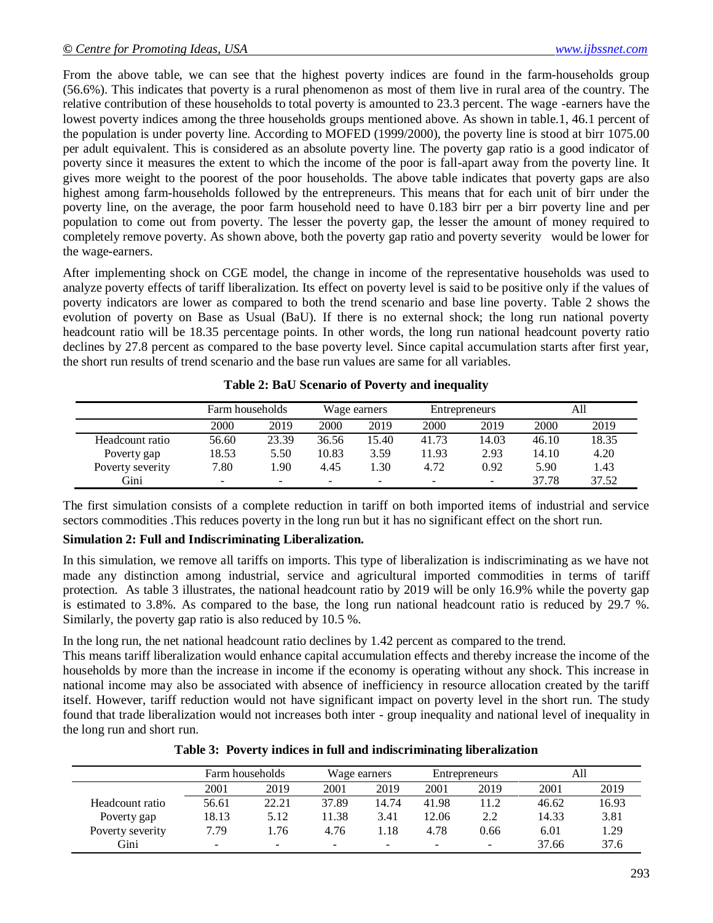From the above table, we can see that the highest poverty indices are found in the farm-households group (56.6%). This indicates that poverty is a rural phenomenon as most of them live in rural area of the country. The relative contribution of these households to total poverty is amounted to 23.3 percent. The wage -earners have the lowest poverty indices among the three households groups mentioned above. As shown in table.1, 46.1 percent of the population is under poverty line. According to MOFED (1999/2000), the poverty line is stood at birr 1075.00 per adult equivalent. This is considered as an absolute poverty line. The poverty gap ratio is a good indicator of poverty since it measures the extent to which the income of the poor is fall-apart away from the poverty line. It gives more weight to the poorest of the poor households. The above table indicates that poverty gaps are also highest among farm-households followed by the entrepreneurs. This means that for each unit of birr under the poverty line, on the average, the poor farm household need to have 0.183 birr per a birr poverty line and per population to come out from poverty. The lesser the poverty gap, the lesser the amount of money required to completely remove poverty. As shown above, both the poverty gap ratio and poverty severity would be lower for the wage-earners.

After implementing shock on CGE model, the change in income of the representative households was used to analyze poverty effects of tariff liberalization. Its effect on poverty level is said to be positive only if the values of poverty indicators are lower as compared to both the trend scenario and base line poverty. Table 2 shows the evolution of poverty on Base as Usual (BaU). If there is no external shock; the long run national poverty headcount ratio will be 18.35 percentage points. In other words, the long run national headcount poverty ratio declines by 27.8 percent as compared to the base poverty level. Since capital accumulation starts after first year, the short run results of trend scenario and the base run values are same for all variables.

|                  | Farm households |        |       | Wage earners |                          | Entrepreneurs            |       | All   |
|------------------|-----------------|--------|-------|--------------|--------------------------|--------------------------|-------|-------|
|                  | 2000            | 2019   | 2000  | 2019         | 2000                     | 2019                     | 2000  | 2019  |
| Headcount ratio  | 56.60           | 23.39  | 36.56 | 15.40        | 41.73                    | 14.03                    | 46.10 | 18.35 |
| Poverty gap      | 18.53           | 5.50   | 10.83 | 3.59         | 11.93                    | 2.93                     | 14.10 | 4.20  |
| Poverty severity | 7.80            | .90    | 4.45  | 1.30         | 4.72                     | 0.92                     | 5.90  | 1.43  |
| Gini             | $\sim$          | $\sim$ |       | -            | $\overline{\phantom{0}}$ | $\overline{\phantom{0}}$ | 37.78 | 37.52 |

**Table 2: BaU Scenario of Poverty and inequality**

The first simulation consists of a complete reduction in tariff on both imported items of industrial and service sectors commodities .This reduces poverty in the long run but it has no significant effect on the short run.

# **Simulation 2: Full and Indiscriminating Liberalization.**

In this simulation, we remove all tariffs on imports. This type of liberalization is indiscriminating as we have not made any distinction among industrial, service and agricultural imported commodities in terms of tariff protection. As table 3 illustrates, the national headcount ratio by 2019 will be only 16.9% while the poverty gap is estimated to 3.8%. As compared to the base, the long run national headcount ratio is reduced by 29.7 %. Similarly, the poverty gap ratio is also reduced by 10.5 %.

In the long run, the net national headcount ratio declines by 1.42 percent as compared to the trend.

This means tariff liberalization would enhance capital accumulation effects and thereby increase the income of the households by more than the increase in income if the economy is operating without any shock. This increase in national income may also be associated with absence of inefficiency in resource allocation created by the tariff itself. However, tariff reduction would not have significant impact on poverty level in the short run. The study found that trade liberalization would not increases both inter - group inequality and national level of inequality in the long run and short run.

**Table 3: Poverty indices in full and indiscriminating liberalization**

|                  | Farm households          |       | Wage earners |                          |       | Entrepreneurs | All   |       |
|------------------|--------------------------|-------|--------------|--------------------------|-------|---------------|-------|-------|
|                  | 2001                     | 2019  | 2001         | 2019                     | 2001  | 2019          | 2001  | 2019  |
| Headcount ratio  | 56.61                    | 22.21 | 37.89        | 14.74                    | 41.98 | 11.2          | 46.62 | 16.93 |
| Poverty gap      | 18.13                    | 5.12  | 1.38         | 3.41                     | 12.06 | 2.2           | 14.33 | 3.81  |
| Poverty severity | 7.79                     | .76   | 4.76         | l.18                     | 4.78  | 0.66          | 6.01  | .29   |
| Gini             | $\overline{\phantom{0}}$ | -     | $\sim$       | $\overline{\phantom{0}}$ | -     | -             | 37.66 | 37.6  |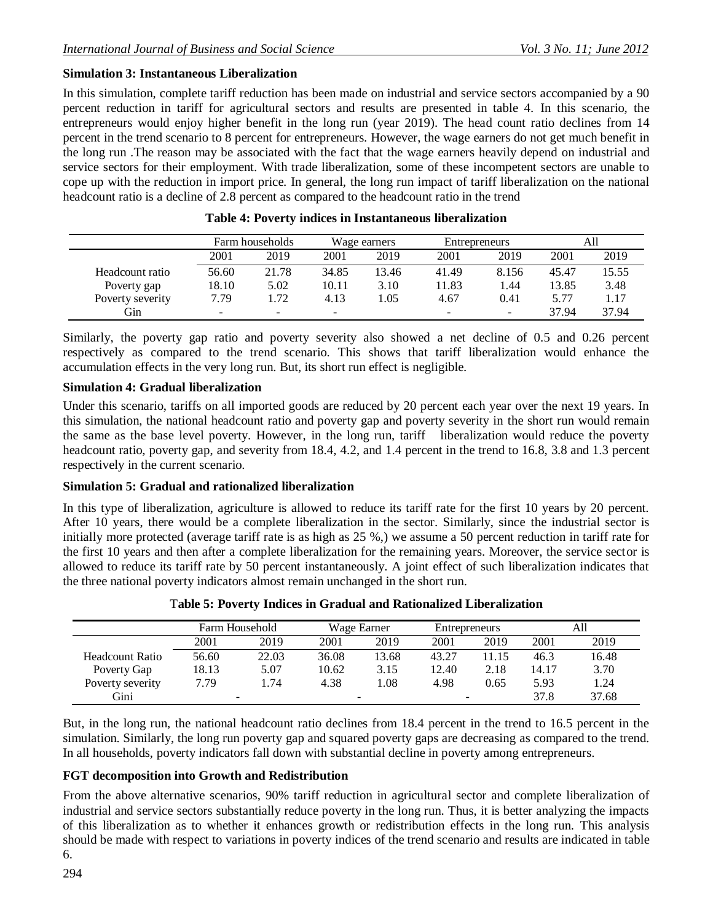# **Simulation 3: Instantaneous Liberalization**

In this simulation, complete tariff reduction has been made on industrial and service sectors accompanied by a 90 percent reduction in tariff for agricultural sectors and results are presented in table 4. In this scenario, the entrepreneurs would enjoy higher benefit in the long run (year 2019). The head count ratio declines from 14 percent in the trend scenario to 8 percent for entrepreneurs. However, the wage earners do not get much benefit in the long run .The reason may be associated with the fact that the wage earners heavily depend on industrial and service sectors for their employment. With trade liberalization, some of these incompetent sectors are unable to cope up with the reduction in import price. In general, the long run impact of tariff liberalization on the national headcount ratio is a decline of 2.8 percent as compared to the headcount ratio in the trend

|                  |                          | Farm households          |                          | Wage earners | Entrepreneurs            |                          |       | All   |
|------------------|--------------------------|--------------------------|--------------------------|--------------|--------------------------|--------------------------|-------|-------|
|                  | 2001                     | 2019                     | 2001                     | 2019         | 2001                     | 2019                     | 2001  | 2019  |
| Headcount ratio  | 56.60                    | 21.78                    | 34.85                    | 13.46        | 41.49                    | 8.156                    | 45.47 | 15.55 |
| Poverty gap      | 18.10                    | 5.02                     | 10.11                    | 3.10         | 11.83                    | 1.44                     | 13.85 | 3.48  |
| Poverty severity | 7.79                     | .72                      | 4.13                     | 1.05         | 4.67                     | 0.41                     | 5.77  | 1.17  |
| Gin              | $\overline{\phantom{a}}$ | $\overline{\phantom{0}}$ | $\overline{\phantom{a}}$ |              | $\overline{\phantom{0}}$ | $\overline{\phantom{0}}$ | 37.94 | 37.94 |

| Table 4: Poverty indices in Instantaneous liberalization |  |  |  |
|----------------------------------------------------------|--|--|--|
|----------------------------------------------------------|--|--|--|

Similarly, the poverty gap ratio and poverty severity also showed a net decline of 0.5 and 0.26 percent respectively as compared to the trend scenario. This shows that tariff liberalization would enhance the accumulation effects in the very long run. But, its short run effect is negligible.

### **Simulation 4: Gradual liberalization**

Under this scenario, tariffs on all imported goods are reduced by 20 percent each year over the next 19 years. In this simulation, the national headcount ratio and poverty gap and poverty severity in the short run would remain the same as the base level poverty. However, in the long run, tariff liberalization would reduce the poverty headcount ratio, poverty gap, and severity from 18.4, 4.2, and 1.4 percent in the trend to 16.8, 3.8 and 1.3 percent respectively in the current scenario. 

#### **Simulation 5: Gradual and rationalized liberalization**

In this type of liberalization, agriculture is allowed to reduce its tariff rate for the first 10 years by 20 percent. After 10 years, there would be a complete liberalization in the sector. Similarly, since the industrial sector is initially more protected (average tariff rate is as high as 25 %,) we assume a 50 percent reduction in tariff rate for the first 10 years and then after a complete liberalization for the remaining years. Moreover, the service sector is allowed to reduce its tariff rate by 50 percent instantaneously. A joint effect of such liberalization indicates that the three national poverty indicators almost remain unchanged in the short run.

|                  |                          | Farm Household |       | Wage Earner | Entrepreneurs |       |       | All   |
|------------------|--------------------------|----------------|-------|-------------|---------------|-------|-------|-------|
|                  | 2001                     | 2019           | 2001  | 2019        | 2001          | 2019  | 2001  | 2019  |
| Headcount Ratio  | 56.60                    | 22.03          | 36.08 | 13.68       | 43.27         | 11.15 | 46.3  | 16.48 |
| Poverty Gap      | 18.13                    | 5.07           | 10.62 | 3.15        | 12.40         | 2.18  | 14.17 | 3.70  |
| Poverty severity | 7.79                     | 1.74           | 4.38  | 1.08        | 4.98          | 0.65  | 5.93  | 1.24  |
| Gini             | $\overline{\phantom{0}}$ |                | -     |             |               |       | 37.8  | 37.68 |

#### T**able 5: Poverty Indices in Gradual and Rationalized Liberalization**

But, in the long run, the national headcount ratio declines from 18.4 percent in the trend to 16.5 percent in the simulation. Similarly, the long run poverty gap and squared poverty gaps are decreasing as compared to the trend. In all households, poverty indicators fall down with substantial decline in poverty among entrepreneurs.

# **FGT decomposition into Growth and Redistribution**

From the above alternative scenarios, 90% tariff reduction in agricultural sector and complete liberalization of industrial and service sectors substantially reduce poverty in the long run. Thus, it is better analyzing the impacts of this liberalization as to whether it enhances growth or redistribution effects in the long run. This analysis should be made with respect to variations in poverty indices of the trend scenario and results are indicated in table 6.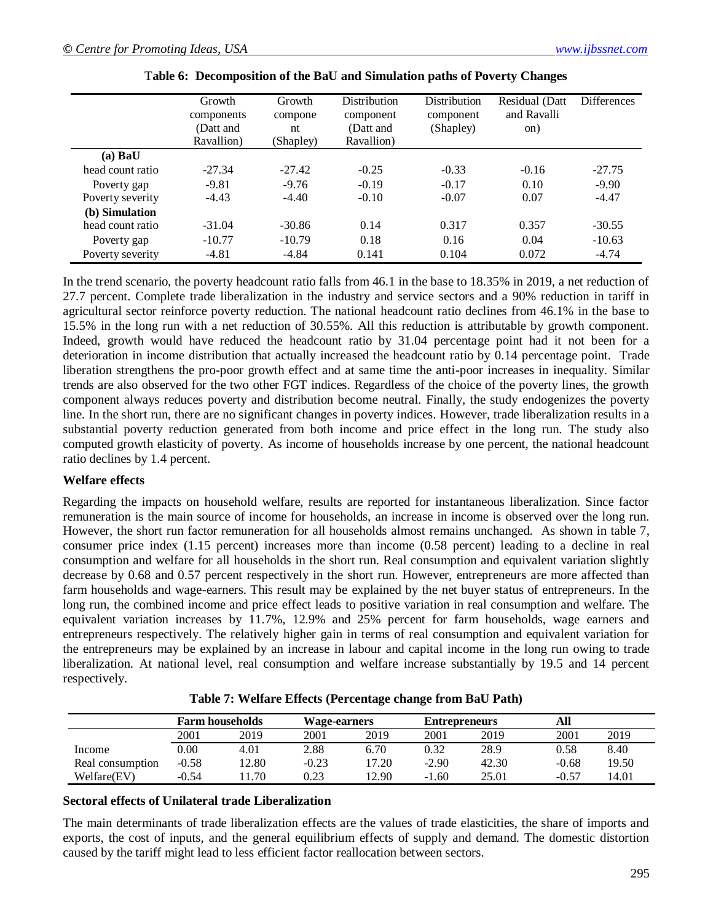|                  | Growth<br>components<br>(Datt and<br>Ravallion) | Growth<br>compone<br>nt<br>(Shapley) | <b>Distribution</b><br>component<br>(Datt and<br>Ravallion) | <b>Distribution</b><br>component<br>(Shapley) | Residual (Datt)<br>and Ravalli<br>on) | <b>Differences</b> |
|------------------|-------------------------------------------------|--------------------------------------|-------------------------------------------------------------|-----------------------------------------------|---------------------------------------|--------------------|
| (a) <b>BaU</b>   |                                                 |                                      |                                                             |                                               |                                       |                    |
| head count ratio | $-27.34$                                        | $-27.42$                             | $-0.25$                                                     | $-0.33$                                       | $-0.16$                               | $-27.75$           |
| Poverty gap      | $-9.81$                                         | $-9.76$                              | $-0.19$                                                     | $-0.17$                                       | 0.10                                  | $-9.90$            |
| Poverty severity | $-4.43$                                         | $-4.40$                              | $-0.10$                                                     | $-0.07$                                       | 0.07                                  | $-4.47$            |
| (b) Simulation   |                                                 |                                      |                                                             |                                               |                                       |                    |
| head count ratio | $-31.04$                                        | $-30.86$                             | 0.14                                                        | 0.317                                         | 0.357                                 | $-30.55$           |
| Poverty gap      | $-10.77$                                        | $-10.79$                             | 0.18                                                        | 0.16                                          | 0.04                                  | $-10.63$           |
| Poverty severity | $-4.81$                                         | $-4.84$                              | 0.141                                                       | 0.104                                         | 0.072                                 | $-4.74$            |

| Table 6: Decomposition of the BaU and Simulation paths of Poverty Changes |  |  |  |  |  |  |
|---------------------------------------------------------------------------|--|--|--|--|--|--|
|---------------------------------------------------------------------------|--|--|--|--|--|--|

In the trend scenario, the poverty headcount ratio falls from 46.1 in the base to 18.35% in 2019, a net reduction of 27.7 percent. Complete trade liberalization in the industry and service sectors and a 90% reduction in tariff in agricultural sector reinforce poverty reduction. The national headcount ratio declines from 46.1% in the base to 15.5% in the long run with a net reduction of 30.55%. All this reduction is attributable by growth component. Indeed, growth would have reduced the headcount ratio by 31.04 percentage point had it not been for a deterioration in income distribution that actually increased the headcount ratio by 0.14 percentage point. Trade liberation strengthens the pro-poor growth effect and at same time the anti-poor increases in inequality. Similar trends are also observed for the two other FGT indices. Regardless of the choice of the poverty lines, the growth component always reduces poverty and distribution become neutral. Finally, the study endogenizes the poverty line. In the short run, there are no significant changes in poverty indices. However, trade liberalization results in a substantial poverty reduction generated from both income and price effect in the long run. The study also computed growth elasticity of poverty. As income of households increase by one percent, the national headcount ratio declines by 1.4 percent.

### **Welfare effects**

Regarding the impacts on household welfare, results are reported for instantaneous liberalization. Since factor remuneration is the main source of income for households, an increase in income is observed over the long run. However, the short run factor remuneration for all households almost remains unchanged. As shown in table 7, consumer price index (1.15 percent) increases more than income (0.58 percent) leading to a decline in real consumption and welfare for all households in the short run. Real consumption and equivalent variation slightly decrease by 0.68 and 0.57 percent respectively in the short run. However, entrepreneurs are more affected than farm households and wage-earners. This result may be explained by the net buyer status of entrepreneurs. In the long run, the combined income and price effect leads to positive variation in real consumption and welfare. The equivalent variation increases by 11.7%, 12.9% and 25% percent for farm households, wage earners and entrepreneurs respectively. The relatively higher gain in terms of real consumption and equivalent variation for the entrepreneurs may be explained by an increase in labour and capital income in the long run owing to trade liberalization. At national level, real consumption and welfare increase substantially by 19.5 and 14 percent respectively.

|                  |         | <b>Farm households</b> | <b>Wage-earners</b> |       | <b>Entrepreneurs</b> |       | All     |       |
|------------------|---------|------------------------|---------------------|-------|----------------------|-------|---------|-------|
|                  | 2001    | 2019                   | 2001                | 2019  | 2001                 | 2019  | 2001    | 2019  |
| Income           | 0.00    | 4.01                   | 2.88                | 6.70  | 0.32                 | 28.9  | 0.58    | 8.40  |
| Real consumption | $-0.58$ | 12.80                  | $-0.23$             | 17.20 | $-2.90$              | 42.30 | $-0.68$ | 19.50 |
| Welfare(EV)      | $-0.54$ | .70                    | 0.23                | '2.90 | $-1.60$              | 25.01 | $-0.57$ | 14.01 |

|  | Table 7: Welfare Effects (Percentage change from BaU Path) |  |  |
|--|------------------------------------------------------------|--|--|
|  |                                                            |  |  |

#### **Sectoral effects of Unilateral trade Liberalization**

The main determinants of trade liberalization effects are the values of trade elasticities, the share of imports and exports, the cost of inputs, and the general equilibrium effects of supply and demand. The domestic distortion caused by the tariff might lead to less efficient factor reallocation between sectors.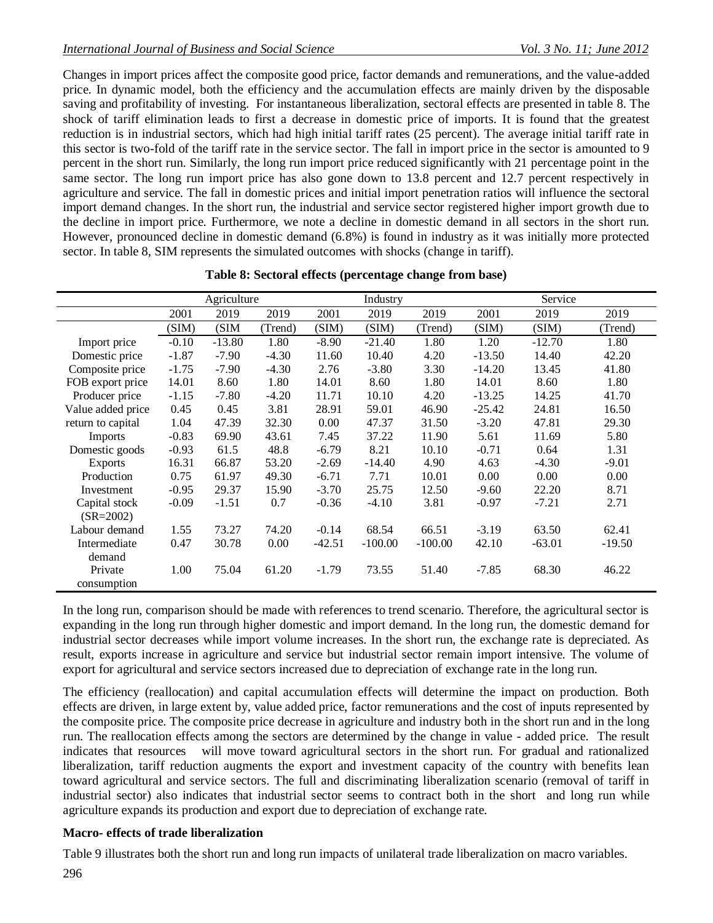Changes in import prices affect the composite good price, factor demands and remunerations, and the value-added price. In dynamic model, both the efficiency and the accumulation effects are mainly driven by the disposable saving and profitability of investing. For instantaneous liberalization, sectoral effects are presented in table 8. The shock of tariff elimination leads to first a decrease in domestic price of imports. It is found that the greatest reduction is in industrial sectors, which had high initial tariff rates (25 percent). The average initial tariff rate in this sector is two-fold of the tariff rate in the service sector. The fall in import price in the sector is amounted to 9 percent in the short run. Similarly, the long run import price reduced significantly with 21 percentage point in the same sector. The long run import price has also gone down to 13.8 percent and 12.7 percent respectively in agriculture and service. The fall in domestic prices and initial import penetration ratios will influence the sectoral import demand changes. In the short run, the industrial and service sector registered higher import growth due to the decline in import price. Furthermore, we note a decline in domestic demand in all sectors in the short run. However, pronounced decline in domestic demand (6.8%) is found in industry as it was initially more protected sector. In table 8, SIM represents the simulated outcomes with shocks (change in tariff).

|                   |         | Agriculture |         |          | Industry  |           |          | Service  |          |
|-------------------|---------|-------------|---------|----------|-----------|-----------|----------|----------|----------|
|                   | 2001    | 2019        | 2019    | 2001     | 2019      | 2019      | 2001     | 2019     | 2019     |
|                   | (SIM)   | (SIM        | (Trend) | (SIM)    | (SIM)     | (Trend)   | (SIM)    | (SIM)    | (Trend)  |
| Import price      | $-0.10$ | $-13.80$    | 1.80    | $-8.90$  | $-21.40$  | 1.80      | 1.20     | $-12.70$ | 1.80     |
| Domestic price    | $-1.87$ | $-7.90$     | $-4.30$ | 11.60    | 10.40     | 4.20      | $-13.50$ | 14.40    | 42.20    |
| Composite price   | $-1.75$ | $-7.90$     | $-4.30$ | 2.76     | $-3.80$   | 3.30      | $-14.20$ | 13.45    | 41.80    |
| FOB export price  | 14.01   | 8.60        | 1.80    | 14.01    | 8.60      | 1.80      | 14.01    | 8.60     | 1.80     |
| Producer price    | $-1.15$ | $-7.80$     | $-4.20$ | 11.71    | 10.10     | 4.20      | $-13.25$ | 14.25    | 41.70    |
| Value added price | 0.45    | 0.45        | 3.81    | 28.91    | 59.01     | 46.90     | $-25.42$ | 24.81    | 16.50    |
| return to capital | 1.04    | 47.39       | 32.30   | 0.00     | 47.37     | 31.50     | $-3.20$  | 47.81    | 29.30    |
| Imports           | $-0.83$ | 69.90       | 43.61   | 7.45     | 37.22     | 11.90     | 5.61     | 11.69    | 5.80     |
| Domestic goods    | $-0.93$ | 61.5        | 48.8    | $-6.79$  | 8.21      | 10.10     | $-0.71$  | 0.64     | 1.31     |
| <b>Exports</b>    | 16.31   | 66.87       | 53.20   | $-2.69$  | $-14.40$  | 4.90      | 4.63     | $-4.30$  | $-9.01$  |
| Production        | 0.75    | 61.97       | 49.30   | $-6.71$  | 7.71      | 10.01     | 0.00     | 0.00     | 0.00     |
| Investment        | $-0.95$ | 29.37       | 15.90   | $-3.70$  | 25.75     | 12.50     | $-9.60$  | 22.20    | 8.71     |
| Capital stock     | $-0.09$ | $-1.51$     | 0.7     | $-0.36$  | $-4.10$   | 3.81      | $-0.97$  | $-7.21$  | 2.71     |
| $(SR = 2002)$     |         |             |         |          |           |           |          |          |          |
| Labour demand     | 1.55    | 73.27       | 74.20   | $-0.14$  | 68.54     | 66.51     | $-3.19$  | 63.50    | 62.41    |
| Intermediate      | 0.47    | 30.78       | 0.00    | $-42.51$ | $-100.00$ | $-100.00$ | 42.10    | $-63.01$ | $-19.50$ |
| demand            |         |             |         |          |           |           |          |          |          |
| Private           | 1.00    | 75.04       | 61.20   | $-1.79$  | 73.55     | 51.40     | $-7.85$  | 68.30    | 46.22    |
| consumption       |         |             |         |          |           |           |          |          |          |

| Table 8: Sectoral effects (percentage change from base) |  |  |  |  |  |  |  |
|---------------------------------------------------------|--|--|--|--|--|--|--|
|---------------------------------------------------------|--|--|--|--|--|--|--|

In the long run, comparison should be made with references to trend scenario. Therefore, the agricultural sector is expanding in the long run through higher domestic and import demand. In the long run, the domestic demand for industrial sector decreases while import volume increases. In the short run, the exchange rate is depreciated. As result, exports increase in agriculture and service but industrial sector remain import intensive. The volume of export for agricultural and service sectors increased due to depreciation of exchange rate in the long run.

The efficiency (reallocation) and capital accumulation effects will determine the impact on production. Both effects are driven, in large extent by, value added price, factor remunerations and the cost of inputs represented by the composite price. The composite price decrease in agriculture and industry both in the short run and in the long run. The reallocation effects among the sectors are determined by the change in value - added price. The result indicates that resources will move toward agricultural sectors in the short run. For gradual and rationalized liberalization, tariff reduction augments the export and investment capacity of the country with benefits lean toward agricultural and service sectors. The full and discriminating liberalization scenario (removal of tariff in industrial sector) also indicates that industrial sector seems to contract both in the short and long run while agriculture expands its production and export due to depreciation of exchange rate.

# **Macro- effects of trade liberalization**

Table 9 illustrates both the short run and long run impacts of unilateral trade liberalization on macro variables.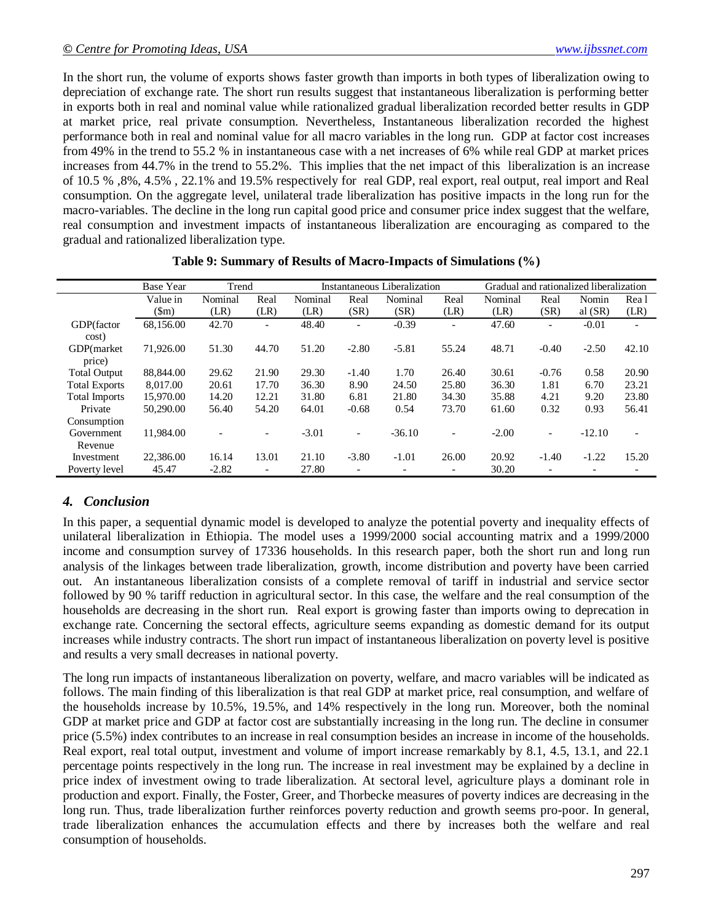In the short run, the volume of exports shows faster growth than imports in both types of liberalization owing to depreciation of exchange rate. The short run results suggest that instantaneous liberalization is performing better in exports both in real and nominal value while rationalized gradual liberalization recorded better results in GDP at market price, real private consumption. Nevertheless, Instantaneous liberalization recorded the highest performance both in real and nominal value for all macro variables in the long run. GDP at factor cost increases from 49% in the trend to 55.2 % in instantaneous case with a net increases of 6% while real GDP at market prices increases from 44.7% in the trend to 55.2%. This implies that the net impact of this liberalization is an increase of 10.5 % ,8%, 4.5% , 22.1% and 19.5% respectively for real GDP, real export, real output, real import and Real consumption. On the aggregate level, unilateral trade liberalization has positive impacts in the long run for the macro-variables. The decline in the long run capital good price and consumer price index suggest that the welfare, real consumption and investment impacts of instantaneous liberalization are encouraging as compared to the gradual and rationalized liberalization type.

|                      | <b>Base Year</b> | Trend   |                          | Instantaneous Liberalization |                          |          |                              | Gradual and rationalized liberalization |                          |           |                          |
|----------------------|------------------|---------|--------------------------|------------------------------|--------------------------|----------|------------------------------|-----------------------------------------|--------------------------|-----------|--------------------------|
|                      | Value in         | Nominal | Real                     | Nominal                      | Real                     | Nominal  | Real                         | Nominal                                 | Real                     | Nomin     | Rea 1                    |
|                      | $(\text{Sm})$    | (LR)    | (LR)                     | (LR)                         | (SR)                     | (SR)     | (LR)                         | (LR)                                    | (SR)                     | al $(SR)$ | (LR)                     |
| GDP(factor           | 68,156.00        | 42.70   | $\overline{\phantom{0}}$ | 48.40                        | $\overline{\phantom{a}}$ | $-0.39$  | $\overline{\phantom{0}}$     | 47.60                                   | $\overline{\phantom{0}}$ | $-0.01$   | $\overline{\phantom{a}}$ |
| cost)                |                  |         |                          |                              |                          |          |                              |                                         |                          |           |                          |
| GDP(market)          | 71,926.00        | 51.30   | 44.70                    | 51.20                        | $-2.80$                  | $-5.81$  | 55.24                        | 48.71                                   | $-0.40$                  | $-2.50$   | 42.10                    |
| price)               |                  |         |                          |                              |                          |          |                              |                                         |                          |           |                          |
| <b>Total Output</b>  | 88,844.00        | 29.62   | 21.90                    | 29.30                        | $-1.40$                  | 1.70     | 26.40                        | 30.61                                   | $-0.76$                  | 0.58      | 20.90                    |
| <b>Total Exports</b> | 8.017.00         | 20.61   | 17.70                    | 36.30                        | 8.90                     | 24.50    | 25.80                        | 36.30                                   | 1.81                     | 6.70      | 23.21                    |
| <b>Total Imports</b> | 15,970.00        | 14.20   | 12.21                    | 31.80                        | 6.81                     | 21.80    | 34.30                        | 35.88                                   | 4.21                     | 9.20      | 23.80                    |
| Private              | 50,290.00        | 56.40   | 54.20                    | 64.01                        | $-0.68$                  | 0.54     | 73.70                        | 61.60                                   | 0.32                     | 0.93      | 56.41                    |
| Consumption          |                  |         |                          |                              |                          |          |                              |                                         |                          |           |                          |
| Government           | 11.984.00        |         |                          | $-3.01$                      | $\overline{\phantom{a}}$ | $-36.10$ | $\overline{\phantom{0}}$     | $-2.00$                                 | $\overline{\phantom{a}}$ | $-12.10$  | $\overline{\phantom{0}}$ |
| Revenue              |                  |         |                          |                              |                          |          |                              |                                         |                          |           |                          |
| Investment           | 22,386.00        | 16.14   | 13.01                    | 21.10                        | $-3.80$                  | $-1.01$  | 26.00                        | 20.92                                   | $-1.40$                  | $-1.22$   | 15.20                    |
| Poverty level        | 45.47            | $-2.82$ |                          | 27.80                        | $\overline{\phantom{a}}$ |          | $\qquad \qquad \blacksquare$ | 30.20                                   |                          |           |                          |

#### **Table 9: Summary of Results of Macro-Impacts of Simulations (%)**

# *4. Conclusion*

In this paper, a sequential dynamic model is developed to analyze the potential poverty and inequality effects of unilateral liberalization in Ethiopia. The model uses a 1999/2000 social accounting matrix and a 1999/2000 income and consumption survey of 17336 households. In this research paper, both the short run and long run analysis of the linkages between trade liberalization, growth, income distribution and poverty have been carried out. An instantaneous liberalization consists of a complete removal of tariff in industrial and service sector followed by 90 % tariff reduction in agricultural sector. In this case, the welfare and the real consumption of the households are decreasing in the short run. Real export is growing faster than imports owing to deprecation in exchange rate. Concerning the sectoral effects, agriculture seems expanding as domestic demand for its output increases while industry contracts. The short run impact of instantaneous liberalization on poverty level is positive and results a very small decreases in national poverty.

The long run impacts of instantaneous liberalization on poverty, welfare, and macro variables will be indicated as follows. The main finding of this liberalization is that real GDP at market price, real consumption, and welfare of the households increase by 10.5%, 19.5%, and 14% respectively in the long run. Moreover, both the nominal GDP at market price and GDP at factor cost are substantially increasing in the long run. The decline in consumer price (5.5%) index contributes to an increase in real consumption besides an increase in income of the households. Real export, real total output, investment and volume of import increase remarkably by 8.1, 4.5, 13.1, and 22.1 percentage points respectively in the long run. The increase in real investment may be explained by a decline in price index of investment owing to trade liberalization. At sectoral level, agriculture plays a dominant role in production and export. Finally, the Foster, Greer, and Thorbecke measures of poverty indices are decreasing in the long run. Thus, trade liberalization further reinforces poverty reduction and growth seems pro-poor. In general, trade liberalization enhances the accumulation effects and there by increases both the welfare and real consumption of households.